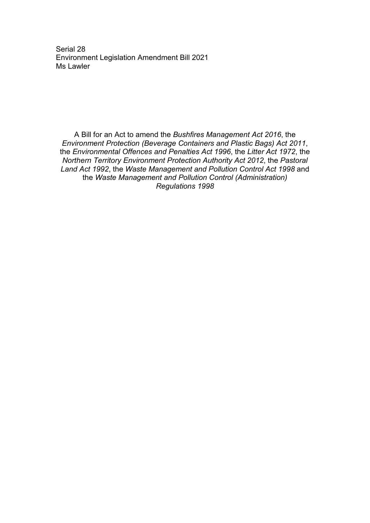Serial 28 Environment Legislation Amendment Bill 2021 Ms Lawler

A Bill for an Act to amend the *Bushfires Management Act 2016*, the *Environment Protection (Beverage Containers and Plastic Bags) Act 2011*, the *Environmental Offences and Penalties Act 1996*, the *Litter Act 1972*, the *Northern Territory Environment Protection Authority Act 2012*, the *Pastoral Land Act 1992*, the *Waste Management and Pollution Control Act 1998* and the *Waste Management and Pollution Control (Administration) Regulations 1998*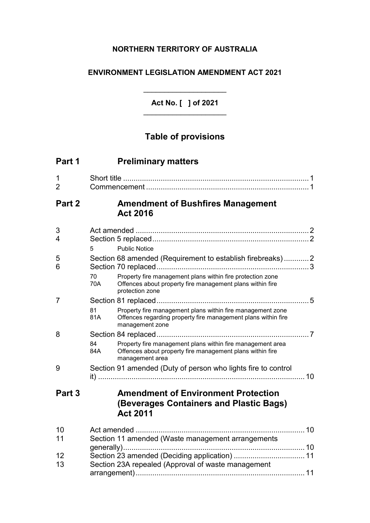## **NORTHERN TERRITORY OF AUSTRALIA**

### **ENVIRONMENT LEGISLATION AMENDMENT ACT 2021**

**Act No. [ ] of 2021** \_\_\_\_\_\_\_\_\_\_\_\_\_\_\_\_\_\_\_\_

\_\_\_\_\_\_\_\_\_\_\_\_\_\_\_\_\_\_\_\_

# **Table of provisions**

| Part 1              | <b>Preliminary matters</b>                                                                                                                                                                                           |  |
|---------------------|----------------------------------------------------------------------------------------------------------------------------------------------------------------------------------------------------------------------|--|
| 1<br>$\overline{2}$ |                                                                                                                                                                                                                      |  |
| Part 2              | <b>Amendment of Bushfires Management</b><br><b>Act 2016</b>                                                                                                                                                          |  |
| 3<br>4              | <b>Public Notice</b><br>5                                                                                                                                                                                            |  |
| 5<br>6              | Section 68 amended (Requirement to establish firebreaks)2<br>Property fire management plans within fire protection zone<br>70<br>70A<br>Offences about property fire management plans within fire<br>protection zone |  |
| 7                   | Property fire management plans within fire management zone<br>81<br>81A<br>Offences regarding property fire management plans within fire<br>management zone                                                          |  |
| 8                   | Property fire management plans within fire management area<br>84<br>84A<br>Offences about property fire management plans within fire<br>management area                                                              |  |
| 9                   | Section 91 amended (Duty of person who lights fire to control                                                                                                                                                        |  |
| Part 3              | <b>Amendment of Environment Protection</b><br>(Beverages Containers and Plastic Bags)<br><b>Act 2011</b>                                                                                                             |  |
| 10<br>11            | Section 11 amended (Waste management arrangements                                                                                                                                                                    |  |
|                     |                                                                                                                                                                                                                      |  |
| 12<br>13            | Section 23 amended (Deciding application)  11<br>Section 23A repealed (Approval of waste management                                                                                                                  |  |
|                     |                                                                                                                                                                                                                      |  |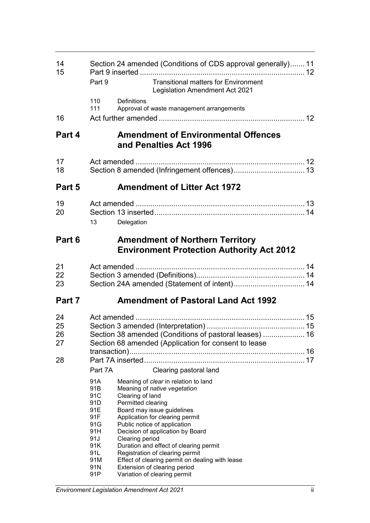| 14<br>15 |            | Section 24 amended (Conditions of CDS approval generally) 11                               |  |
|----------|------------|--------------------------------------------------------------------------------------------|--|
|          | Part 9     | <b>Transitional matters for Environment</b><br><b>Legislation Amendment Act 2021</b>       |  |
|          | 110<br>111 | Definitions<br>Approval of waste management arrangements                                   |  |
| 16       |            |                                                                                            |  |
| Part 4   |            | <b>Amendment of Environmental Offences</b><br>and Penalties Act 1996                       |  |
| 17       |            |                                                                                            |  |
| 18       |            |                                                                                            |  |
| Part 5   |            | <b>Amendment of Litter Act 1972</b>                                                        |  |
| 19       |            |                                                                                            |  |
| 20       |            |                                                                                            |  |
|          | 13         | Delegation                                                                                 |  |
| Part 6   |            | <b>Amendment of Northern Territory</b><br><b>Environment Protection Authority Act 2012</b> |  |
| 21       |            |                                                                                            |  |
| 22       |            |                                                                                            |  |
| 23       |            |                                                                                            |  |
| Part 7   |            | <b>Amendment of Pastoral Land Act 1992</b>                                                 |  |
| 24       |            |                                                                                            |  |
| 25       |            |                                                                                            |  |
| 26       |            | Section 38 amended (Conditions of pastoral leases)  16                                     |  |
| 27       |            | Section 68 amended (Application for consent to lease                                       |  |
| 28       |            |                                                                                            |  |
|          | Part 7A    | Clearing pastoral land                                                                     |  |
|          | 91A        | Meaning of clear in relation to land                                                       |  |
|          | 91B        | Meaning of native vegetation                                                               |  |
|          | 91C        | Clearing of land                                                                           |  |
|          | 91D<br>91E | Permitted clearing<br>Board may issue guidelines                                           |  |
|          | 91F        | Application for clearing permit                                                            |  |
|          | 91G        | Public notice of application                                                               |  |
|          | 91H<br>91J | Decision of application by Board<br>Clearing period                                        |  |
|          | 91K        | Duration and effect of clearing permit                                                     |  |
|          | 91L        | Registration of clearing permit                                                            |  |
|          | 91M<br>91N | Effect of clearing permit on dealing with lease<br>Extension of clearing period            |  |
|          | 91P        | Variation of clearing permit                                                               |  |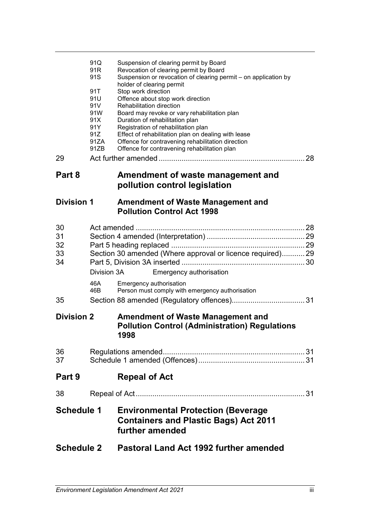| <b>Schedule 2</b>          |                                                               | <b>Pastoral Land Act 1992 further amended</b>                                                                                                                                                                                                                                                                                                                                                           |  |
|----------------------------|---------------------------------------------------------------|---------------------------------------------------------------------------------------------------------------------------------------------------------------------------------------------------------------------------------------------------------------------------------------------------------------------------------------------------------------------------------------------------------|--|
| <b>Schedule 1</b>          |                                                               | <b>Environmental Protection (Beverage</b><br><b>Containers and Plastic Bags) Act 2011</b><br>further amended                                                                                                                                                                                                                                                                                            |  |
| 38                         |                                                               |                                                                                                                                                                                                                                                                                                                                                                                                         |  |
| Part 9                     |                                                               | <b>Repeal of Act</b>                                                                                                                                                                                                                                                                                                                                                                                    |  |
| 36<br>37                   |                                                               |                                                                                                                                                                                                                                                                                                                                                                                                         |  |
| <b>Division 2</b>          |                                                               | <b>Amendment of Waste Management and</b><br><b>Pollution Control (Administration) Regulations</b><br>1998                                                                                                                                                                                                                                                                                               |  |
| 35                         | 46A<br>46B                                                    | Emergency authorisation<br>Person must comply with emergency authorisation                                                                                                                                                                                                                                                                                                                              |  |
| 30<br>31<br>32<br>33<br>34 | Division 3A                                                   | Section 30 amended (Where approval or licence required) 29<br>Emergency authorisation                                                                                                                                                                                                                                                                                                                   |  |
| <b>Division 1</b>          |                                                               | <b>Amendment of Waste Management and</b><br><b>Pollution Control Act 1998</b>                                                                                                                                                                                                                                                                                                                           |  |
| Part 8                     |                                                               | Amendment of waste management and<br>pollution control legislation                                                                                                                                                                                                                                                                                                                                      |  |
| 29                         |                                                               |                                                                                                                                                                                                                                                                                                                                                                                                         |  |
|                            | 91T<br>91U<br>91V<br>91W<br>91X<br>91Y<br>91Z<br>91ZA<br>91ZB | holder of clearing permit<br>Stop work direction<br>Offence about stop work direction<br>Rehabilitation direction<br>Board may revoke or vary rehabilitation plan<br>Duration of rehabilitation plan<br>Registration of rehabilitation plan<br>Effect of rehabilitation plan on dealing with lease<br>Offence for contravening rehabilitation direction<br>Offence for contravening rehabilitation plan |  |
|                            | 91Q<br>91R<br>91S                                             | Suspension of clearing permit by Board<br>Revocation of clearing permit by Board<br>Suspension or revocation of clearing permit - on application by                                                                                                                                                                                                                                                     |  |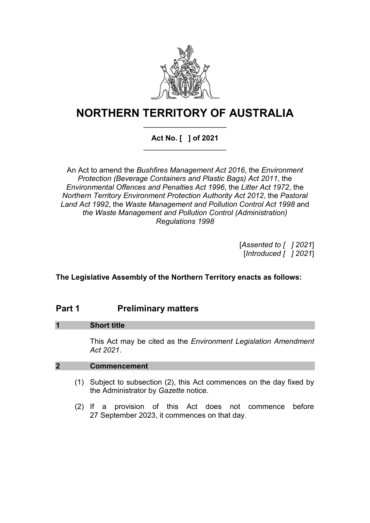

# **NORTHERN TERRITORY OF AUSTRALIA** \_\_\_\_\_\_\_\_\_\_\_\_\_\_\_\_\_\_\_\_

### **Act No. [ ] of 2021** \_\_\_\_\_\_\_\_\_\_\_\_\_\_\_\_\_\_\_\_

An Act to amend the *Bushfires Management Act 2016*, the *Environment Protection (Beverage Containers and Plastic Bags) Act 2011*, the *Environmental Offences and Penalties Act 1996*, the *Litter Act 1972*, the *Northern Territory Environment Protection Authority Act 2012*, the *Pastoral Land Act 1992*, the *Waste Management and Pollution Control Act 1998* and *the Waste Management and Pollution Control (Administration) Regulations 1998*

> [*Assented to [ ] 2021*] [*Introduced [ ] 2021*]

**The Legislative Assembly of the Northern Territory enacts as follows:**

## **Part 1 Preliminary matters**

### **1 Short title**

This Act may be cited as the *Environment Legislation Amendment Act 2021*.

### **2 Commencement**

- (1) Subject to subsection (2), this Act commences on the day fixed by the Administrator by *Gazette* notice.
- (2) If a provision of this Act does not commence before 27 September 2023, it commences on that day.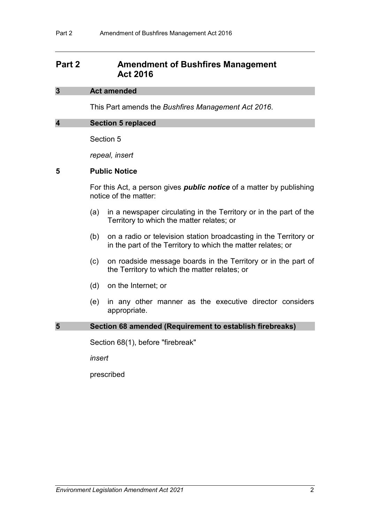## **Part 2 Amendment of Bushfires Management Act 2016**

#### **3 Act amended**

This Part amends the *Bushfires Management Act 2016*.

#### **4 Section 5 replaced**

Section 5

*repeal, insert*

#### **5 Public Notice**

For this Act, a person gives *public notice* of a matter by publishing notice of the matter:

- (a) in a newspaper circulating in the Territory or in the part of the Territory to which the matter relates; or
- (b) on a radio or television station broadcasting in the Territory or in the part of the Territory to which the matter relates; or
- (c) on roadside message boards in the Territory or in the part of the Territory to which the matter relates; or
- (d) on the Internet; or
- (e) in any other manner as the executive director considers appropriate.

#### **5 Section 68 amended (Requirement to establish firebreaks)**

Section 68(1), before "firebreak"

*insert*

prescribed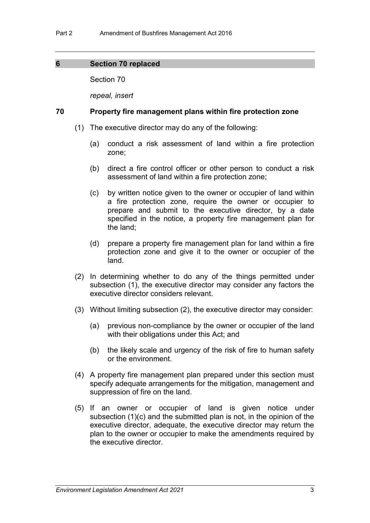### **6 Section 70 replaced**

Section 70

*repeal, insert*

### **70 Property fire management plans within fire protection zone**

- (1) The executive director may do any of the following:
	- (a) conduct a risk assessment of land within a fire protection zone;
	- (b) direct a fire control officer or other person to conduct a risk assessment of land within a fire protection zone;
	- (c) by written notice given to the owner or occupier of land within a fire protection zone, require the owner or occupier to prepare and submit to the executive director, by a date specified in the notice, a property fire management plan for the land;
	- (d) prepare a property fire management plan for land within a fire protection zone and give it to the owner or occupier of the land.
- (2) In determining whether to do any of the things permitted under subsection (1), the executive director may consider any factors the executive director considers relevant.
- (3) Without limiting subsection (2), the executive director may consider:
	- (a) previous non-compliance by the owner or occupier of the land with their obligations under this Act; and
	- (b) the likely scale and urgency of the risk of fire to human safety or the environment.
- (4) A property fire management plan prepared under this section must specify adequate arrangements for the mitigation, management and suppression of fire on the land.
- (5) If an owner or occupier of land is given notice under subsection (1)(c) and the submitted plan is not, in the opinion of the executive director, adequate, the executive director may return the plan to the owner or occupier to make the amendments required by the executive director.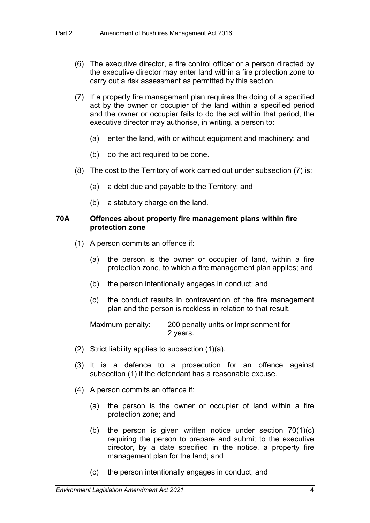- (6) The executive director, a fire control officer or a person directed by the executive director may enter land within a fire protection zone to carry out a risk assessment as permitted by this section.
- (7) If a property fire management plan requires the doing of a specified act by the owner or occupier of the land within a specified period and the owner or occupier fails to do the act within that period, the executive director may authorise, in writing, a person to:
	- (a) enter the land, with or without equipment and machinery; and
	- (b) do the act required to be done.
- (8) The cost to the Territory of work carried out under subsection (7) is:
	- (a) a debt due and payable to the Territory; and
	- (b) a statutory charge on the land.

### **70A Offences about property fire management plans within fire protection zone**

- (1) A person commits an offence if:
	- (a) the person is the owner or occupier of land, within a fire protection zone, to which a fire management plan applies; and
	- (b) the person intentionally engages in conduct; and
	- (c) the conduct results in contravention of the fire management plan and the person is reckless in relation to that result.

Maximum penalty: 200 penalty units or imprisonment for 2 years.

- (2) Strict liability applies to subsection  $(1)(a)$ .
- (3) It is a defence to a prosecution for an offence against subsection (1) if the defendant has a reasonable excuse.
- (4) A person commits an offence if:
	- (a) the person is the owner or occupier of land within a fire protection zone; and
	- (b) the person is given written notice under section 70(1)(c) requiring the person to prepare and submit to the executive director, by a date specified in the notice, a property fire management plan for the land; and
	- (c) the person intentionally engages in conduct; and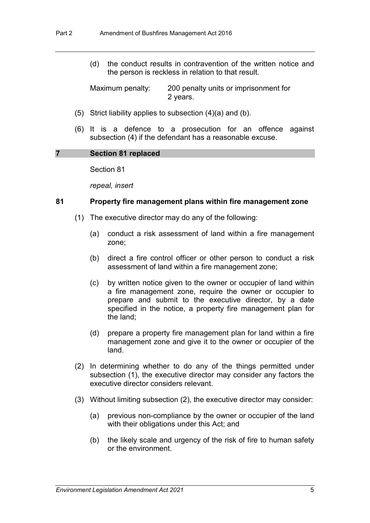(d) the conduct results in contravention of the written notice and the person is reckless in relation to that result.

Maximum penalty: 200 penalty units or imprisonment for 2 years.

- (5) Strict liability applies to subsection (4)(a) and (b).
- (6) It is a defence to a prosecution for an offence against subsection (4) if the defendant has a reasonable excuse.

#### **7 Section 81 replaced**

Section 81

*repeal, insert*

#### **81 Property fire management plans within fire management zone**

- (1) The executive director may do any of the following:
	- (a) conduct a risk assessment of land within a fire management zone;
	- (b) direct a fire control officer or other person to conduct a risk assessment of land within a fire management zone;
	- (c) by written notice given to the owner or occupier of land within a fire management zone, require the owner or occupier to prepare and submit to the executive director, by a date specified in the notice, a property fire management plan for the land;
	- (d) prepare a property fire management plan for land within a fire management zone and give it to the owner or occupier of the land.
- (2) In determining whether to do any of the things permitted under subsection (1), the executive director may consider any factors the executive director considers relevant.
- (3) Without limiting subsection (2), the executive director may consider:
	- (a) previous non-compliance by the owner or occupier of the land with their obligations under this Act; and
	- (b) the likely scale and urgency of the risk of fire to human safety or the environment.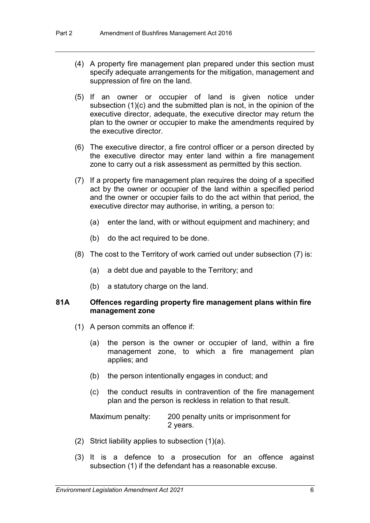- (4) A property fire management plan prepared under this section must specify adequate arrangements for the mitigation, management and suppression of fire on the land.
- (5) If an owner or occupier of land is given notice under subsection (1)(c) and the submitted plan is not, in the opinion of the executive director, adequate, the executive director may return the plan to the owner or occupier to make the amendments required by the executive director.
- (6) The executive director, a fire control officer or a person directed by the executive director may enter land within a fire management zone to carry out a risk assessment as permitted by this section.
- (7) If a property fire management plan requires the doing of a specified act by the owner or occupier of the land within a specified period and the owner or occupier fails to do the act within that period, the executive director may authorise, in writing, a person to:
	- (a) enter the land, with or without equipment and machinery; and
	- (b) do the act required to be done.
- (8) The cost to the Territory of work carried out under subsection (7) is:
	- (a) a debt due and payable to the Territory; and
	- (b) a statutory charge on the land.

#### **81A Offences regarding property fire management plans within fire management zone**

- (1) A person commits an offence if:
	- (a) the person is the owner or occupier of land, within a fire management zone, to which a fire management plan applies; and
	- (b) the person intentionally engages in conduct; and
	- (c) the conduct results in contravention of the fire management plan and the person is reckless in relation to that result.

Maximum penalty: 200 penalty units or imprisonment for 2 years.

- (2) Strict liability applies to subsection  $(1)(a)$ .
- (3) It is a defence to a prosecution for an offence against subsection (1) if the defendant has a reasonable excuse.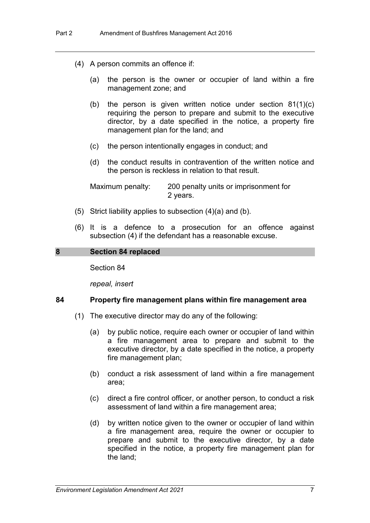- (4) A person commits an offence if:
	- (a) the person is the owner or occupier of land within a fire management zone; and
	- (b) the person is given written notice under section 81(1)(c) requiring the person to prepare and submit to the executive director, by a date specified in the notice, a property fire management plan for the land; and
	- (c) the person intentionally engages in conduct; and
	- (d) the conduct results in contravention of the written notice and the person is reckless in relation to that result.

Maximum penalty: 200 penalty units or imprisonment for 2 years.

- (5) Strict liability applies to subsection (4)(a) and (b).
- (6) It is a defence to a prosecution for an offence against subsection (4) if the defendant has a reasonable excuse.

#### **8 Section 84 replaced**

Section 84

*repeal, insert*

#### **84 Property fire management plans within fire management area**

- (1) The executive director may do any of the following:
	- (a) by public notice, require each owner or occupier of land within a fire management area to prepare and submit to the executive director, by a date specified in the notice, a property fire management plan;
	- (b) conduct a risk assessment of land within a fire management area;
	- (c) direct a fire control officer, or another person, to conduct a risk assessment of land within a fire management area;
	- (d) by written notice given to the owner or occupier of land within a fire management area, require the owner or occupier to prepare and submit to the executive director, by a date specified in the notice, a property fire management plan for the land;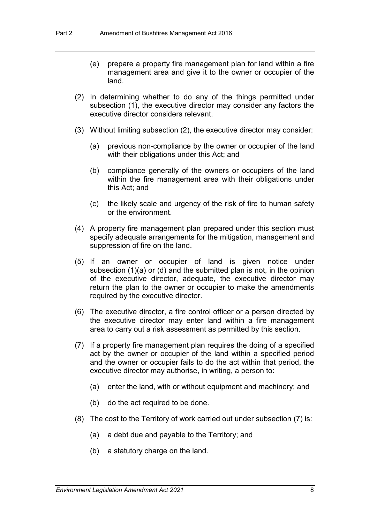- (e) prepare a property fire management plan for land within a fire management area and give it to the owner or occupier of the land.
- (2) In determining whether to do any of the things permitted under subsection (1), the executive director may consider any factors the executive director considers relevant.
- (3) Without limiting subsection (2), the executive director may consider:
	- (a) previous non-compliance by the owner or occupier of the land with their obligations under this Act; and
	- (b) compliance generally of the owners or occupiers of the land within the fire management area with their obligations under this Act; and
	- (c) the likely scale and urgency of the risk of fire to human safety or the environment.
- (4) A property fire management plan prepared under this section must specify adequate arrangements for the mitigation, management and suppression of fire on the land.
- (5) If an owner or occupier of land is given notice under subsection (1)(a) or (d) and the submitted plan is not, in the opinion of the executive director, adequate, the executive director may return the plan to the owner or occupier to make the amendments required by the executive director.
- (6) The executive director, a fire control officer or a person directed by the executive director may enter land within a fire management area to carry out a risk assessment as permitted by this section.
- (7) If a property fire management plan requires the doing of a specified act by the owner or occupier of the land within a specified period and the owner or occupier fails to do the act within that period, the executive director may authorise, in writing, a person to:
	- (a) enter the land, with or without equipment and machinery; and
	- (b) do the act required to be done.
- (8) The cost to the Territory of work carried out under subsection (7) is:
	- (a) a debt due and payable to the Territory; and
	- (b) a statutory charge on the land.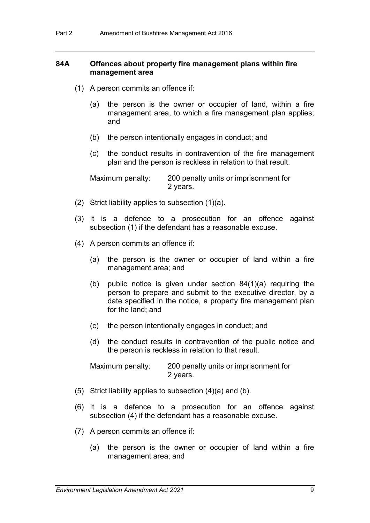### **84A Offences about property fire management plans within fire management area**

- (1) A person commits an offence if:
	- (a) the person is the owner or occupier of land, within a fire management area, to which a fire management plan applies; and
	- (b) the person intentionally engages in conduct; and
	- (c) the conduct results in contravention of the fire management plan and the person is reckless in relation to that result.

Maximum penalty: 200 penalty units or imprisonment for 2 years.

- (2) Strict liability applies to subsection (1)(a).
- (3) It is a defence to a prosecution for an offence against subsection (1) if the defendant has a reasonable excuse.
- (4) A person commits an offence if:
	- (a) the person is the owner or occupier of land within a fire management area; and
	- (b) public notice is given under section 84(1)(a) requiring the person to prepare and submit to the executive director, by a date specified in the notice, a property fire management plan for the land; and
	- (c) the person intentionally engages in conduct; and
	- (d) the conduct results in contravention of the public notice and the person is reckless in relation to that result.

Maximum penalty: 200 penalty units or imprisonment for 2 years.

- (5) Strict liability applies to subsection (4)(a) and (b).
- (6) It is a defence to a prosecution for an offence against subsection (4) if the defendant has a reasonable excuse.
- (7) A person commits an offence if:
	- (a) the person is the owner or occupier of land within a fire management area; and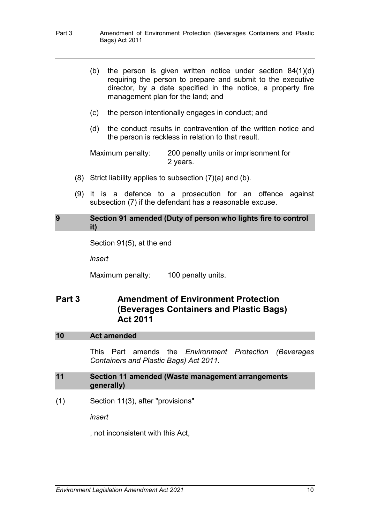- Part 3 Amendment of Environment Protection (Beverages Containers and Plastic Bags) Act 2011
	- (b) the person is given written notice under section 84(1)(d) requiring the person to prepare and submit to the executive director, by a date specified in the notice, a property fire management plan for the land; and
	- (c) the person intentionally engages in conduct; and
	- (d) the conduct results in contravention of the written notice and the person is reckless in relation to that result.

Maximum penalty: 200 penalty units or imprisonment for 2 years.

- (8) Strict liability applies to subsection  $(7)(a)$  and  $(b)$ .
- (9) It is a defence to a prosecution for an offence against subsection (7) if the defendant has a reasonable excuse.

#### **9 Section 91 amended (Duty of person who lights fire to control it)**

```
Section 91(5), at the end
```
*insert*

Maximum penalty: 100 penalty units.

## **Part 3 Amendment of Environment Protection (Beverages Containers and Plastic Bags) Act 2011**

### **10 Act amended**

This Part amends the *Environment Protection (Beverages Containers and Plastic Bags) Act 2011*.

### **11 Section 11 amended (Waste management arrangements generally)**

(1) Section 11(3), after "provisions"

*insert*

, not inconsistent with this Act,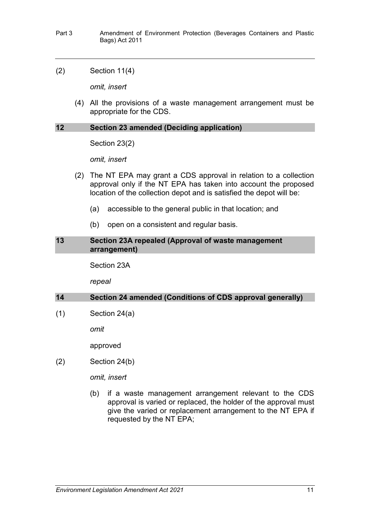- Part 3 Amendment of Environment Protection (Beverages Containers and Plastic Bags) Act 2011
- (2) Section 11(4)

*omit, insert*

(4) All the provisions of a waste management arrangement must be appropriate for the CDS.

#### **12 Section 23 amended (Deciding application)**

Section 23(2)

*omit, insert*

- (2) The NT EPA may grant a CDS approval in relation to a collection approval only if the NT EPA has taken into account the proposed location of the collection depot and is satisfied the depot will be:
	- (a) accessible to the general public in that location; and
	- (b) open on a consistent and regular basis.

#### **13 Section 23A repealed (Approval of waste management arrangement)**

Section 23A

*repeal*

### **14 Section 24 amended (Conditions of CDS approval generally)**

 $(1)$  Section 24 $(a)$ 

*omit*

approved

(2) Section 24(b)

*omit, insert*

(b) if a waste management arrangement relevant to the CDS approval is varied or replaced, the holder of the approval must give the varied or replacement arrangement to the NT EPA if requested by the NT EPA;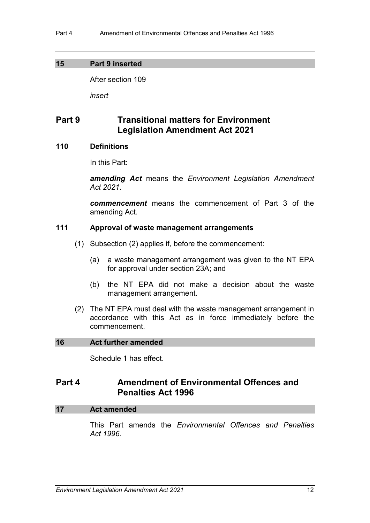### **15 Part 9 inserted**

After section 109

*insert*

## **Part 9 Transitional matters for Environment Legislation Amendment Act 2021**

### **110 Definitions**

In this Part:

*amending Act* means the *Environment Legislation Amendment Act 2021*.

*commencement* means the commencement of Part 3 of the amending Act.

### **111 Approval of waste management arrangements**

- (1) Subsection (2) applies if, before the commencement:
	- (a) a waste management arrangement was given to the NT EPA for approval under section 23A; and
	- (b) the NT EPA did not make a decision about the waste management arrangement.
- (2) The NT EPA must deal with the waste management arrangement in accordance with this Act as in force immediately before the commencement.

### **16 Act further amended**

Schedule 1 has effect.

### **Part 4 Amendment of Environmental Offences and Penalties Act 1996**

### **17 Act amended**

This Part amends the *Environmental Offences and Penalties Act 1996*.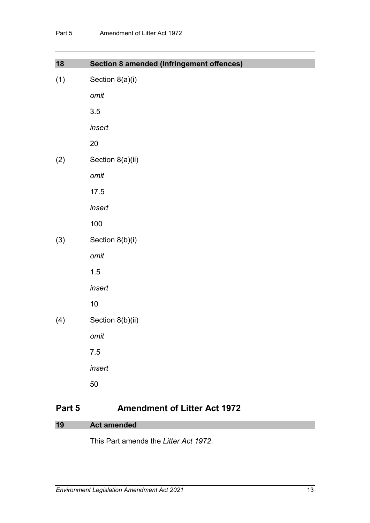| 18  | <b>Section 8 amended (Infringement offences)</b> |
|-----|--------------------------------------------------|
| (1) | Section 8(a)(i)                                  |
|     | omit                                             |
|     | 3.5                                              |
|     | insert                                           |
|     | 20                                               |
| (2) | Section 8(a)(ii)                                 |
|     | omit                                             |
|     | 17.5                                             |
|     | insert                                           |
|     | 100                                              |
| (3) | Section 8(b)(i)                                  |
|     | omit                                             |
|     | 1.5                                              |
|     | insert                                           |
|     | $10$                                             |
| (4) | Section 8(b)(ii)                                 |
|     | omit                                             |
|     | 7.5                                              |
|     | insert                                           |
|     | 50                                               |

# **Part 5 Amendment of Litter Act 1972**

| <b>Act amended</b><br>19 |
|--------------------------|
|--------------------------|

This Part amends the *Litter Act 1972*.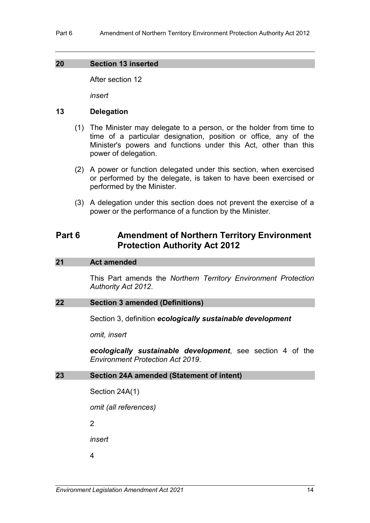### **20 Section 13 inserted**

After section 12

*insert*

### **13 Delegation**

- (1) The Minister may delegate to a person, or the holder from time to time of a particular designation, position or office, any of the Minister's powers and functions under this Act, other than this power of delegation.
- (2) A power or function delegated under this section, when exercised or performed by the delegate, is taken to have been exercised or performed by the Minister.
- (3) A delegation under this section does not prevent the exercise of a power or the performance of a function by the Minister.

## **Part 6 Amendment of Northern Territory Environment Protection Authority Act 2012**

### **21 Act amended**

This Part amends the *Northern Territory Environment Protection Authority Act 2012*.

### **22 Section 3 amended (Definitions)**

Section 3, definition *ecologically sustainable development*

*omit, insert*

*ecologically sustainable development*, see section 4 of the *Environment Protection Act 2019*.

### **23 Section 24A amended (Statement of intent)**

Section 24A(1)

*omit (all references)*

2

*insert*

4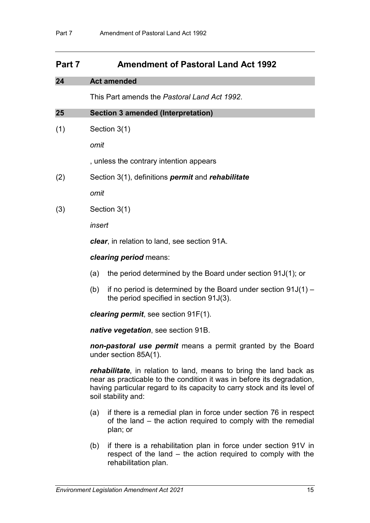## **Part 7 Amendment of Pastoral Land Act 1992**

### **24 Act amended**

This Part amends the *Pastoral Land Act 1992*.

### **25 Section 3 amended (Interpretation)**

(1) Section 3(1)

*omit*

, unless the contrary intention appears

(2) Section 3(1), definitions *permit* and *rehabilitate*

*omit*

(3) Section 3(1)

*insert*

*clear*, in relation to land, see section 91A.

### *clearing period* means:

- (a) the period determined by the Board under section 91J(1); or
- (b) if no period is determined by the Board under section  $91J(1)$  the period specified in section 91J(3).

*clearing permit*, see section 91F(1).

*native vegetation*, see section 91B.

*non-pastoral use permit* means a permit granted by the Board under section 85A(1).

*rehabilitate*, in relation to land, means to bring the land back as near as practicable to the condition it was in before its degradation, having particular regard to its capacity to carry stock and its level of soil stability and:

- (a) if there is a remedial plan in force under section 76 in respect of the land – the action required to comply with the remedial plan; or
- (b) if there is a rehabilitation plan in force under section 91V in respect of the land – the action required to comply with the rehabilitation plan.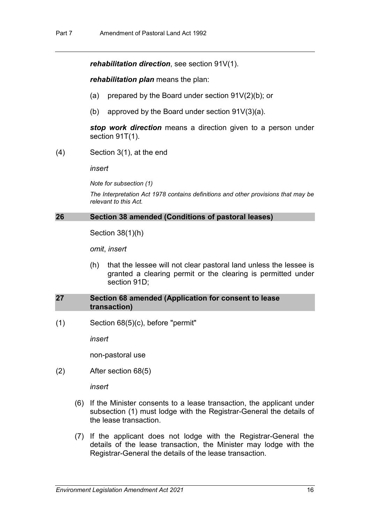*rehabilitation direction*, see section 91V(1).

*rehabilitation plan* means the plan:

- (a) prepared by the Board under section  $91V(2)(b)$ ; or
- (b) approved by the Board under section  $91V(3)(a)$ .

*stop work direction* means a direction given to a person under section 91T(1).

(4) Section 3(1), at the end

*insert*

*Note for subsection (1)*

*The Interpretation Act 1978 contains definitions and other provisions that may be relevant to this Act.*

#### **26 Section 38 amended (Conditions of pastoral leases)**

Section 38(1)(h)

*omit*, *insert*

(h) that the lessee will not clear pastoral land unless the lessee is granted a clearing permit or the clearing is permitted under section 91D;

#### **27 Section 68 amended (Application for consent to lease transaction)**

(1) Section 68(5)(c), before "permit"

*insert*

non-pastoral use

(2) After section 68(5)

*insert*

- (6) If the Minister consents to a lease transaction, the applicant under subsection (1) must lodge with the Registrar-General the details of the lease transaction.
- (7) If the applicant does not lodge with the Registrar-General the details of the lease transaction, the Minister may lodge with the Registrar-General the details of the lease transaction.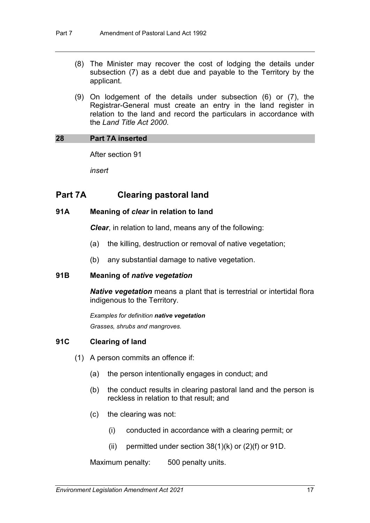- (8) The Minister may recover the cost of lodging the details under subsection (7) as a debt due and payable to the Territory by the applicant.
- (9) On lodgement of the details under subsection (6) or (7), the Registrar-General must create an entry in the land register in relation to the land and record the particulars in accordance with the *Land Title Act 2000*.

### **28 Part 7A inserted**

After section 91

*insert*

## **Part 7A Clearing pastoral land**

### **91A Meaning of** *clear* **in relation to land**

*Clear*, in relation to land, means any of the following:

- (a) the killing, destruction or removal of native vegetation;
- (b) any substantial damage to native vegetation.

### **91B Meaning of** *native vegetation*

*Native vegetation* means a plant that is terrestrial or intertidal flora indigenous to the Territory.

*Examples for definition native vegetation Grasses, shrubs and mangroves.*

### **91C Clearing of land**

- (1) A person commits an offence if:
	- (a) the person intentionally engages in conduct; and
	- (b) the conduct results in clearing pastoral land and the person is reckless in relation to that result; and
	- (c) the clearing was not:
		- (i) conducted in accordance with a clearing permit; or
		- (ii) permitted under section  $38(1)(k)$  or  $(2)(f)$  or  $91D$ .

Maximum penalty: 500 penalty units.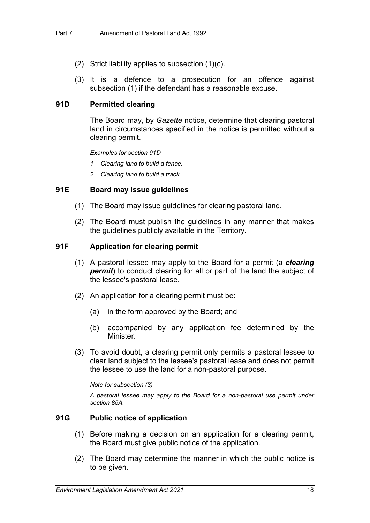- (2) Strict liability applies to subsection (1)(c).
- (3) It is a defence to a prosecution for an offence against subsection (1) if the defendant has a reasonable excuse.

### **91D Permitted clearing**

The Board may, by *Gazette* notice, determine that clearing pastoral land in circumstances specified in the notice is permitted without a clearing permit.

*Examples for section 91D*

- *1 Clearing land to build a fence.*
- *2 Clearing land to build a track.*

### **91E Board may issue guidelines**

- (1) The Board may issue guidelines for clearing pastoral land.
- (2) The Board must publish the guidelines in any manner that makes the guidelines publicly available in the Territory.

### **91F Application for clearing permit**

- (1) A pastoral lessee may apply to the Board for a permit (a *clearing permit*) to conduct clearing for all or part of the land the subject of the lessee's pastoral lease.
- (2) An application for a clearing permit must be:
	- (a) in the form approved by the Board; and
	- (b) accompanied by any application fee determined by the Minister.
- (3) To avoid doubt, a clearing permit only permits a pastoral lessee to clear land subject to the lessee's pastoral lease and does not permit the lessee to use the land for a non-pastoral purpose.

*Note for subsection (3)*

*A pastoral lessee may apply to the Board for a non-pastoral use permit under section 85A.*

### **91G Public notice of application**

- (1) Before making a decision on an application for a clearing permit, the Board must give public notice of the application.
- (2) The Board may determine the manner in which the public notice is to be given.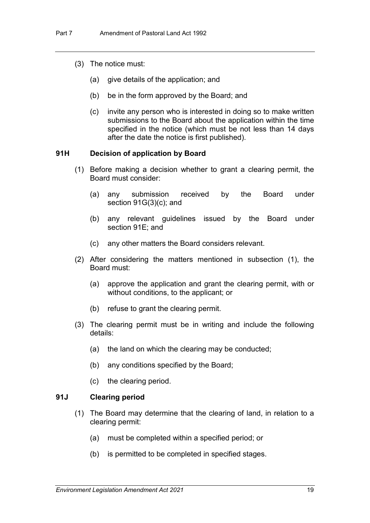- (3) The notice must:
	- (a) give details of the application; and
	- (b) be in the form approved by the Board; and
	- (c) invite any person who is interested in doing so to make written submissions to the Board about the application within the time specified in the notice (which must be not less than 14 days after the date the notice is first published).

#### **91H Decision of application by Board**

- (1) Before making a decision whether to grant a clearing permit, the Board must consider:
	- (a) any submission received by the Board under section 91G(3)(c); and
	- (b) any relevant guidelines issued by the Board under section 91E; and
	- (c) any other matters the Board considers relevant.
- (2) After considering the matters mentioned in subsection (1), the Board must:
	- (a) approve the application and grant the clearing permit, with or without conditions, to the applicant; or
	- (b) refuse to grant the clearing permit.
- (3) The clearing permit must be in writing and include the following details:
	- (a) the land on which the clearing may be conducted;
	- (b) any conditions specified by the Board;
	- (c) the clearing period.

### **91J Clearing period**

- (1) The Board may determine that the clearing of land, in relation to a clearing permit:
	- (a) must be completed within a specified period; or
	- (b) is permitted to be completed in specified stages.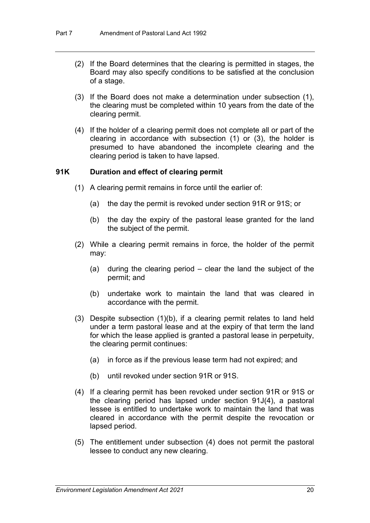- (2) If the Board determines that the clearing is permitted in stages, the Board may also specify conditions to be satisfied at the conclusion of a stage.
- (3) If the Board does not make a determination under subsection (1), the clearing must be completed within 10 years from the date of the clearing permit.
- (4) If the holder of a clearing permit does not complete all or part of the clearing in accordance with subsection (1) or (3), the holder is presumed to have abandoned the incomplete clearing and the clearing period is taken to have lapsed.

### **91K Duration and effect of clearing permit**

- (1) A clearing permit remains in force until the earlier of:
	- (a) the day the permit is revoked under section 91R or 91S; or
	- (b) the day the expiry of the pastoral lease granted for the land the subject of the permit.
- (2) While a clearing permit remains in force, the holder of the permit may:
	- (a) during the clearing period clear the land the subject of the permit; and
	- (b) undertake work to maintain the land that was cleared in accordance with the permit.
- (3) Despite subsection (1)(b), if a clearing permit relates to land held under a term pastoral lease and at the expiry of that term the land for which the lease applied is granted a pastoral lease in perpetuity, the clearing permit continues:
	- (a) in force as if the previous lease term had not expired; and
	- (b) until revoked under section 91R or 91S.
- (4) If a clearing permit has been revoked under section 91R or 91S or the clearing period has lapsed under section 91J(4), a pastoral lessee is entitled to undertake work to maintain the land that was cleared in accordance with the permit despite the revocation or lapsed period.
- (5) The entitlement under subsection (4) does not permit the pastoral lessee to conduct any new clearing.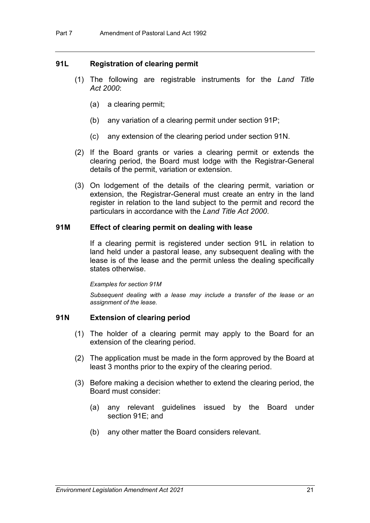### **91L Registration of clearing permit**

- (1) The following are registrable instruments for the *Land Title Act 2000*:
	- (a) a clearing permit;
	- (b) any variation of a clearing permit under section 91P;
	- (c) any extension of the clearing period under section 91N.
- (2) If the Board grants or varies a clearing permit or extends the clearing period, the Board must lodge with the Registrar-General details of the permit, variation or extension.
- (3) On lodgement of the details of the clearing permit, variation or extension, the Registrar-General must create an entry in the land register in relation to the land subject to the permit and record the particulars in accordance with the *Land Title Act 2000*.

### **91M Effect of clearing permit on dealing with lease**

If a clearing permit is registered under section 91L in relation to land held under a pastoral lease, any subsequent dealing with the lease is of the lease and the permit unless the dealing specifically states otherwise.

#### *Examples for section 91M*

*Subsequent dealing with a lease may include a transfer of the lease or an assignment of the lease.*

### **91N Extension of clearing period**

- (1) The holder of a clearing permit may apply to the Board for an extension of the clearing period.
- (2) The application must be made in the form approved by the Board at least 3 months prior to the expiry of the clearing period.
- (3) Before making a decision whether to extend the clearing period, the Board must consider:
	- (a) any relevant guidelines issued by the Board under section 91E; and
	- (b) any other matter the Board considers relevant.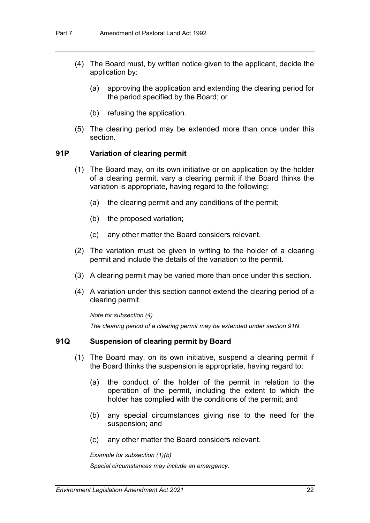- (4) The Board must, by written notice given to the applicant, decide the application by:
	- (a) approving the application and extending the clearing period for the period specified by the Board; or
	- (b) refusing the application.
- (5) The clearing period may be extended more than once under this section.

#### **91P Variation of clearing permit**

- (1) The Board may, on its own initiative or on application by the holder of a clearing permit, vary a clearing permit if the Board thinks the variation is appropriate, having regard to the following:
	- (a) the clearing permit and any conditions of the permit;
	- (b) the proposed variation;
	- (c) any other matter the Board considers relevant.
- (2) The variation must be given in writing to the holder of a clearing permit and include the details of the variation to the permit.
- (3) A clearing permit may be varied more than once under this section.
- (4) A variation under this section cannot extend the clearing period of a clearing permit.

*Note for subsection (4)*

*The clearing period of a clearing permit may be extended under section 91N.*

### **91Q Suspension of clearing permit by Board**

- (1) The Board may, on its own initiative, suspend a clearing permit if the Board thinks the suspension is appropriate, having regard to:
	- (a) the conduct of the holder of the permit in relation to the operation of the permit, including the extent to which the holder has complied with the conditions of the permit; and
	- (b) any special circumstances giving rise to the need for the suspension; and
	- (c) any other matter the Board considers relevant.

*Example for subsection (1)(b) Special circumstances may include an emergency.*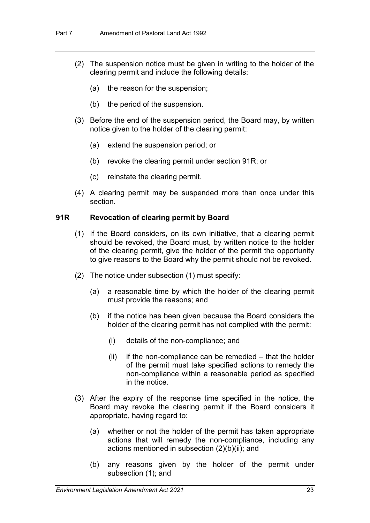- (2) The suspension notice must be given in writing to the holder of the clearing permit and include the following details:
	- (a) the reason for the suspension;
	- (b) the period of the suspension.
- (3) Before the end of the suspension period, the Board may, by written notice given to the holder of the clearing permit:
	- (a) extend the suspension period; or
	- (b) revoke the clearing permit under section 91R; or
	- (c) reinstate the clearing permit.
- (4) A clearing permit may be suspended more than once under this section.

### **91R Revocation of clearing permit by Board**

- (1) If the Board considers, on its own initiative, that a clearing permit should be revoked, the Board must, by written notice to the holder of the clearing permit, give the holder of the permit the opportunity to give reasons to the Board why the permit should not be revoked.
- (2) The notice under subsection (1) must specify:
	- (a) a reasonable time by which the holder of the clearing permit must provide the reasons; and
	- (b) if the notice has been given because the Board considers the holder of the clearing permit has not complied with the permit:
		- (i) details of the non-compliance; and
		- $(ii)$  if the non-compliance can be remedied  $-$  that the holder of the permit must take specified actions to remedy the non-compliance within a reasonable period as specified in the notice.
- (3) After the expiry of the response time specified in the notice, the Board may revoke the clearing permit if the Board considers it appropriate, having regard to:
	- (a) whether or not the holder of the permit has taken appropriate actions that will remedy the non-compliance, including any actions mentioned in subsection (2)(b)(ii); and
	- (b) any reasons given by the holder of the permit under subsection (1); and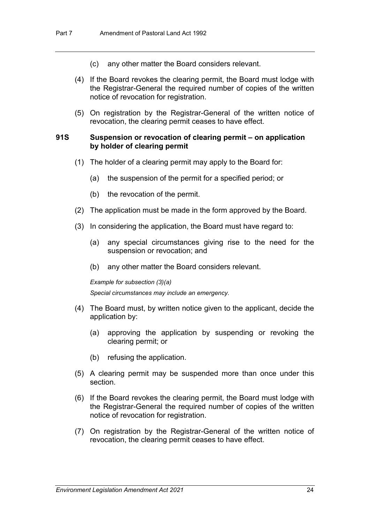- (c) any other matter the Board considers relevant.
- (4) If the Board revokes the clearing permit, the Board must lodge with the Registrar-General the required number of copies of the written notice of revocation for registration.
- (5) On registration by the Registrar-General of the written notice of revocation, the clearing permit ceases to have effect.

#### **91S Suspension or revocation of clearing permit – on application by holder of clearing permit**

- (1) The holder of a clearing permit may apply to the Board for:
	- (a) the suspension of the permit for a specified period; or
	- (b) the revocation of the permit.
- (2) The application must be made in the form approved by the Board.
- (3) In considering the application, the Board must have regard to:
	- (a) any special circumstances giving rise to the need for the suspension or revocation; and
	- (b) any other matter the Board considers relevant.

#### *Example for subsection (3)(a)*

*Special circumstances may include an emergency.*

- (4) The Board must, by written notice given to the applicant, decide the application by:
	- (a) approving the application by suspending or revoking the clearing permit; or
	- (b) refusing the application.
- (5) A clearing permit may be suspended more than once under this section.
- (6) If the Board revokes the clearing permit, the Board must lodge with the Registrar-General the required number of copies of the written notice of revocation for registration.
- (7) On registration by the Registrar-General of the written notice of revocation, the clearing permit ceases to have effect.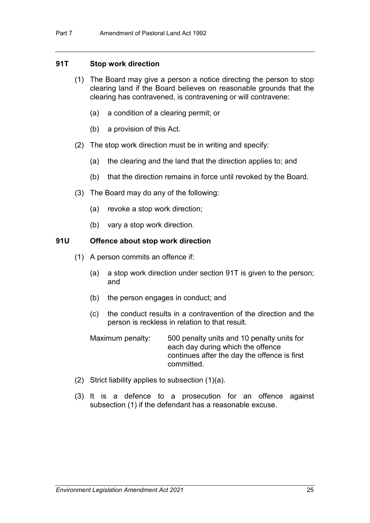### **91T Stop work direction**

- (1) The Board may give a person a notice directing the person to stop clearing land if the Board believes on reasonable grounds that the clearing has contravened, is contravening or will contravene:
	- (a) a condition of a clearing permit; or
	- (b) a provision of this Act.
- (2) The stop work direction must be in writing and specify:
	- (a) the clearing and the land that the direction applies to; and
	- (b) that the direction remains in force until revoked by the Board.
- (3) The Board may do any of the following:
	- (a) revoke a stop work direction;
	- (b) vary a stop work direction.

### **91U Offence about stop work direction**

- (1) A person commits an offence if:
	- (a) a stop work direction under section 91T is given to the person; and
	- (b) the person engages in conduct; and
	- (c) the conduct results in a contravention of the direction and the person is reckless in relation to that result.

Maximum penalty: 500 penalty units and 10 penalty units for each day during which the offence continues after the day the offence is first committed.

- (2) Strict liability applies to subsection (1)(a).
- (3) It is a defence to a prosecution for an offence against subsection (1) if the defendant has a reasonable excuse.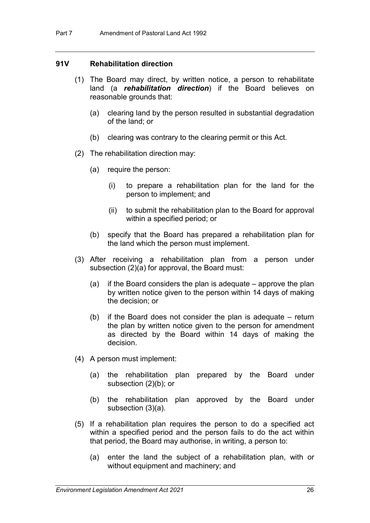### **91V Rehabilitation direction**

- (1) The Board may direct, by written notice, a person to rehabilitate land (a *rehabilitation direction*) if the Board believes on reasonable grounds that:
	- (a) clearing land by the person resulted in substantial degradation of the land; or
	- (b) clearing was contrary to the clearing permit or this Act.
- (2) The rehabilitation direction may:
	- (a) require the person:
		- (i) to prepare a rehabilitation plan for the land for the person to implement; and
		- (ii) to submit the rehabilitation plan to the Board for approval within a specified period; or
	- (b) specify that the Board has prepared a rehabilitation plan for the land which the person must implement.
- (3) After receiving a rehabilitation plan from a person under subsection (2)(a) for approval, the Board must:
	- (a) if the Board considers the plan is adequate approve the plan by written notice given to the person within 14 days of making the decision; or
	- (b) if the Board does not consider the plan is adequate return the plan by written notice given to the person for amendment as directed by the Board within 14 days of making the decision.
- (4) A person must implement:
	- (a) the rehabilitation plan prepared by the Board under subsection (2)(b); or
	- (b) the rehabilitation plan approved by the Board under subsection (3)(a).
- (5) If a rehabilitation plan requires the person to do a specified act within a specified period and the person fails to do the act within that period, the Board may authorise, in writing, a person to:
	- (a) enter the land the subject of a rehabilitation plan, with or without equipment and machinery; and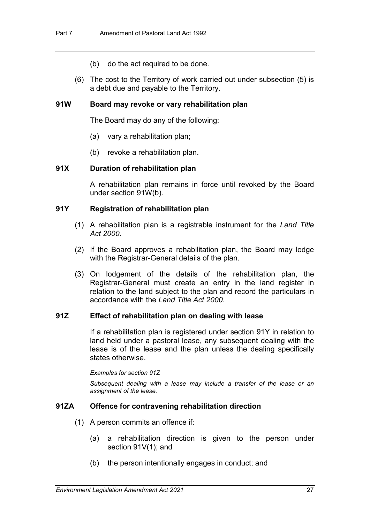- (b) do the act required to be done.
- (6) The cost to the Territory of work carried out under subsection (5) is a debt due and payable to the Territory.

#### **91W Board may revoke or vary rehabilitation plan**

The Board may do any of the following:

- (a) vary a rehabilitation plan;
- (b) revoke a rehabilitation plan.

### **91X Duration of rehabilitation plan**

A rehabilitation plan remains in force until revoked by the Board under section 91W(b).

### **91Y Registration of rehabilitation plan**

- (1) A rehabilitation plan is a registrable instrument for the *Land Title Act 2000*.
- (2) If the Board approves a rehabilitation plan, the Board may lodge with the Registrar-General details of the plan.
- (3) On lodgement of the details of the rehabilitation plan, the Registrar-General must create an entry in the land register in relation to the land subject to the plan and record the particulars in accordance with the *Land Title Act 2000*.

#### **91Z Effect of rehabilitation plan on dealing with lease**

If a rehabilitation plan is registered under section 91Y in relation to land held under a pastoral lease, any subsequent dealing with the lease is of the lease and the plan unless the dealing specifically states otherwise.

*Examples for section 91Z*

*Subsequent dealing with a lease may include a transfer of the lease or an assignment of the lease.*

#### **91ZA Offence for contravening rehabilitation direction**

- (1) A person commits an offence if:
	- (a) a rehabilitation direction is given to the person under section 91V(1); and
	- (b) the person intentionally engages in conduct; and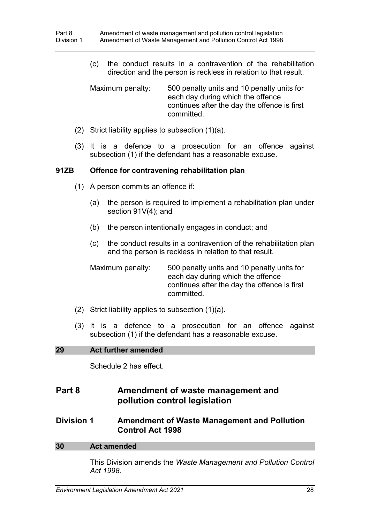(c) the conduct results in a contravention of the rehabilitation direction and the person is reckless in relation to that result.

Maximum penalty: 500 penalty units and 10 penalty units for each day during which the offence continues after the day the offence is first committed.

- (2) Strict liability applies to subsection (1)(a).
- (3) It is a defence to a prosecution for an offence against subsection (1) if the defendant has a reasonable excuse.

### **91ZB Offence for contravening rehabilitation plan**

- (1) A person commits an offence if:
	- (a) the person is required to implement a rehabilitation plan under section 91V(4); and
	- (b) the person intentionally engages in conduct; and
	- (c) the conduct results in a contravention of the rehabilitation plan and the person is reckless in relation to that result.

Maximum penalty: 500 penalty units and 10 penalty units for each day during which the offence continues after the day the offence is first committed.

- (2) Strict liability applies to subsection (1)(a).
- (3) It is a defence to a prosecution for an offence against subsection (1) if the defendant has a reasonable excuse.

#### **29 Act further amended**

Schedule 2 has effect.

### **Part 8 Amendment of waste management and pollution control legislation**

### **Division 1 Amendment of Waste Management and Pollution Control Act 1998**

#### **30 Act amended**

This Division amends the *Waste Management and Pollution Control Act 1998*.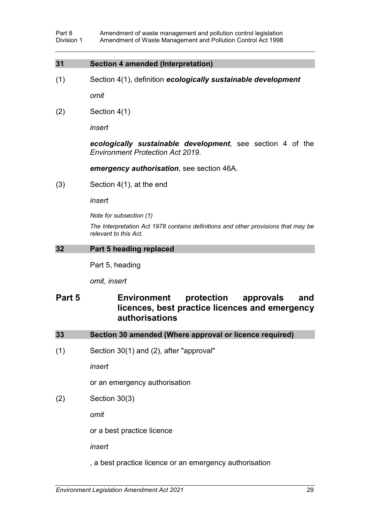#### **31 Section 4 amended (Interpretation)**

(1) Section 4(1), definition *ecologically sustainable development*

*omit*

 $(2)$  Section 4(1)

*insert*

*ecologically sustainable development*, see section 4 of the *Environment Protection Act 2019*.

*emergency authorisation*, see section 46A.

(3) Section 4(1), at the end

*insert*

*Note for subsection (1)*

*The Interpretation Act 1978 contains definitions and other provisions that may be relevant to this Act.*

### **32 Part 5 heading replaced**

Part 5, heading

*omit, insert*

## **Part 5 Environment protection approvals and licences, best practice licences and emergency authorisations**

| Section 30 amended (Where approval or licence required)<br>33 |  |
|---------------------------------------------------------------|--|
|---------------------------------------------------------------|--|

(1) Section 30(1) and (2), after "approval"

*insert*

or an emergency authorisation

(2) Section 30(3)

*omit*

or a best practice licence

*insert*

, a best practice licence or an emergency authorisation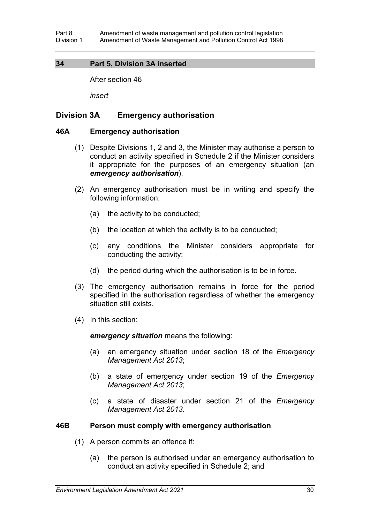### **34 Part 5, Division 3A inserted**

After section 46

*insert*

### **Division 3A Emergency authorisation**

#### **46A Emergency authorisation**

- (1) Despite Divisions 1, 2 and 3, the Minister may authorise a person to conduct an activity specified in Schedule 2 if the Minister considers it appropriate for the purposes of an emergency situation (an *emergency authorisation*).
- (2) An emergency authorisation must be in writing and specify the following information:
	- (a) the activity to be conducted;
	- (b) the location at which the activity is to be conducted;
	- (c) any conditions the Minister considers appropriate for conducting the activity;
	- (d) the period during which the authorisation is to be in force.
- (3) The emergency authorisation remains in force for the period specified in the authorisation regardless of whether the emergency situation still exists.
- (4) In this section:

*emergency situation* means the following:

- (a) an emergency situation under section 18 of the *Emergency Management Act 2013*;
- (b) a state of emergency under section 19 of the *Emergency Management Act 2013*;
- (c) a state of disaster under section 21 of the *Emergency Management Act 2013*.

#### **46B Person must comply with emergency authorisation**

- (1) A person commits an offence if:
	- (a) the person is authorised under an emergency authorisation to conduct an activity specified in Schedule 2; and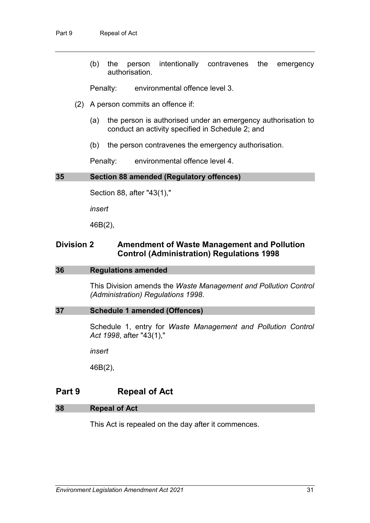(b) the person intentionally contravenes the emergency authorisation.

Penalty: environmental offence level 3.

- (2) A person commits an offence if:
	- (a) the person is authorised under an emergency authorisation to conduct an activity specified in Schedule 2; and
	- (b) the person contravenes the emergency authorisation.

Penalty: environmental offence level 4.

#### **35 Section 88 amended (Regulatory offences)**

Section 88, after "43(1),"

*insert*

46B(2),

### **Division 2 Amendment of Waste Management and Pollution Control (Administration) Regulations 1998**

#### **36 Regulations amended**

This Division amends the *Waste Management and Pollution Control (Administration) Regulations 1998*.

#### **37 Schedule 1 amended (Offences)**

Schedule 1, entry for *Waste Management and Pollution Control Act 1998*, after "43(1),"

*insert*

46B(2),

## **Part 9 Repeal of Act**

#### **38 Repeal of Act**

This Act is repealed on the day after it commences.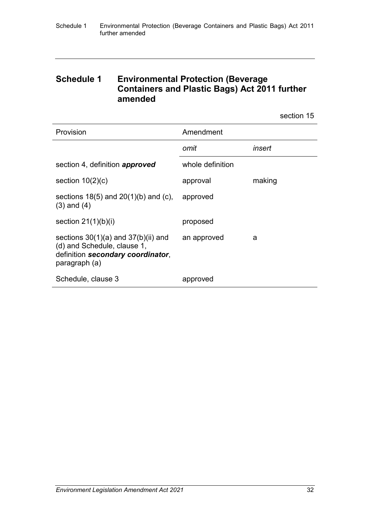## **Schedule 1 Environmental Protection (Beverage Containers and Plastic Bags) Act 2011 further amended**

section 15

| Provision                                                                                                                    | Amendment        |        |
|------------------------------------------------------------------------------------------------------------------------------|------------------|--------|
|                                                                                                                              | omit             | insert |
| section 4, definition approved                                                                                               | whole definition |        |
| section $10(2)(c)$                                                                                                           | approval         | making |
| sections $18(5)$ and $20(1)(b)$ and (c),<br>$(3)$ and $(4)$                                                                  | approved         |        |
| section $21(1)(b)(i)$                                                                                                        | proposed         |        |
| sections $30(1)(a)$ and $37(b)(ii)$ and<br>(d) and Schedule, clause 1,<br>definition secondary coordinator,<br>paragraph (a) | an approved      | a      |
| Schedule, clause 3                                                                                                           | approved         |        |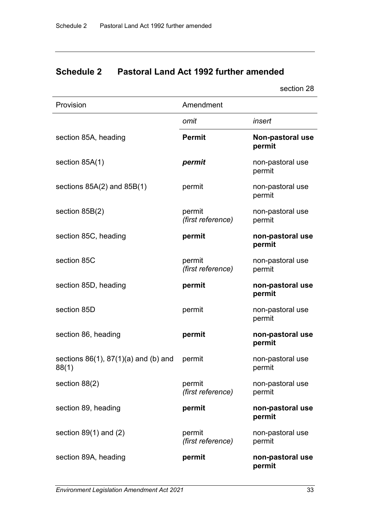# **Schedule 2 Pastoral Land Act 1992 further amended**

section 28

| Provision                                          | Amendment                   |                            |
|----------------------------------------------------|-----------------------------|----------------------------|
|                                                    | omit                        | insert                     |
| section 85A, heading                               | <b>Permit</b>               | Non-pastoral use<br>permit |
| section 85A(1)                                     | permit                      | non-pastoral use<br>permit |
| sections $85A(2)$ and $85B(1)$                     | permit                      | non-pastoral use<br>permit |
| section $85B(2)$                                   | permit<br>(first reference) | non-pastoral use<br>permit |
| section 85C, heading                               | permit                      | non-pastoral use<br>permit |
| section 85C                                        | permit<br>(first reference) | non-pastoral use<br>permit |
| section 85D, heading                               | permit                      | non-pastoral use<br>permit |
| section 85D                                        | permit                      | non-pastoral use<br>permit |
| section 86, heading                                | permit                      | non-pastoral use<br>permit |
| sections $86(1)$ , $87(1)(a)$ and (b) and<br>88(1) | permit                      | non-pastoral use<br>permit |
| section 88(2)                                      | permit<br>(first reference) | non-pastoral use<br>permit |
| section 89, heading                                | permit                      | non-pastoral use<br>permit |
| section $89(1)$ and $(2)$                          | permit<br>(first reference) | non-pastoral use<br>permit |
| section 89A, heading                               | permit                      | non-pastoral use<br>permit |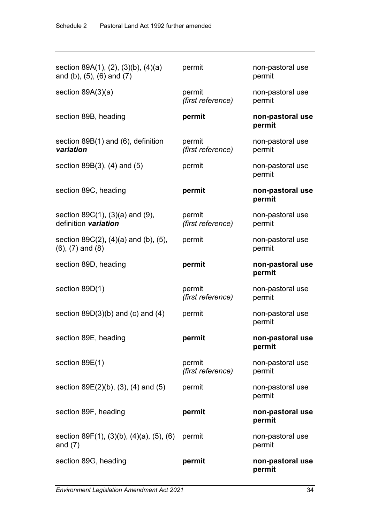| section 89A(1), (2), (3)(b), (4)(a)<br>and (b), $(5)$ , $(6)$ and $(7)$    | permit                      | non-pastoral use<br>permit |
|----------------------------------------------------------------------------|-----------------------------|----------------------------|
| section $89A(3)(a)$                                                        | permit<br>(first reference) | non-pastoral use<br>permit |
| section 89B, heading                                                       | permit                      | non-pastoral use<br>permit |
| section $89B(1)$ and $(6)$ , definition<br>variation                       | permit<br>(first reference) | non-pastoral use<br>permit |
| section $89B(3)$ , $(4)$ and $(5)$                                         | permit                      | non-pastoral use<br>permit |
| section 89C, heading                                                       | permit                      | non-pastoral use<br>permit |
| section $89C(1)$ , $(3)(a)$ and $(9)$ ,<br>definition variation            | permit<br>(first reference) | non-pastoral use<br>permit |
| section $89C(2)$ , $(4)(a)$ and $(b)$ , $(5)$ ,<br>$(6)$ , $(7)$ and $(8)$ | permit                      | non-pastoral use<br>permit |
| section 89D, heading                                                       | permit                      | non-pastoral use<br>permit |
| section 89D(1)                                                             | permit<br>(first reference) | non-pastoral use<br>permit |
| section $89D(3)(b)$ and (c) and (4)                                        | permit                      | non-pastoral use<br>permit |
| section 89E, heading                                                       | permit                      | non-pastoral use<br>permit |
| section 89E(1)                                                             | permit<br>(first reference) | non-pastoral use<br>permit |
| section $89E(2)(b)$ , $(3)$ , $(4)$ and $(5)$                              | permit                      | non-pastoral use<br>permit |
| section 89F, heading                                                       | permit                      | non-pastoral use<br>permit |
| section 89F(1), (3)(b), (4)(a), (5), (6)<br>and $(7)$                      | permit                      | non-pastoral use<br>permit |
| section 89G, heading                                                       | permit                      | non-pastoral use<br>permit |